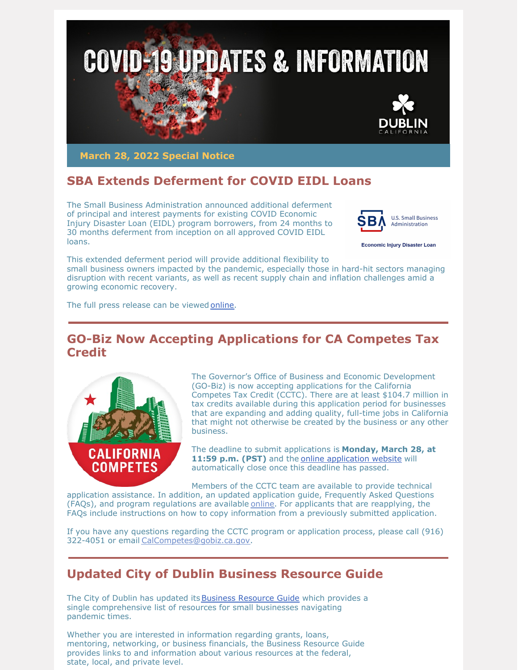

**March 28, 2022 Special Notice**

# **SBA Extends Deferment for COVID EIDL Loans**

The Small Business Administration announced additional deferment of principal and interest payments for existing COVID Economic Injury Disaster Loan (EIDL) program borrowers, from 24 months to 30 months deferment from inception on all approved COVID EIDL loans.



**Economic Injury Disaster Loan** 

This extended deferment period will provide additional flexibility to small business owners impacted by the pandemic, especially those in hard-hit sectors managing disruption with recent variants, as well as recent supply chain and inflation challenges amid a growing economic recovery.

The full press release can be viewed [online](https://www.sba.gov/article/2022/mar/15/sba-administrator-guzman-announces-key-policy-change-existing-covid-economic-injury-disaster-loan).

#### **GO-Biz Now Accepting Applications for CA Competes Tax Credit**



The Governor's Office of Business and Economic Development (GO-Biz) is now accepting applications for the California Competes Tax Credit (CCTC). There are at least \$104.7 million in tax credits available during this application period for businesses that are expanding and adding quality, full-time jobs in California that might not otherwise be created by the business or any other business.

The deadline to submit applications is **Monday, March 28, at 11:59 p.m. (PST)** and the online [application](http://www.calcompetes.ca.gov) website will automatically close once this deadline has passed.

Members of the CCTC team are available to provide technical application assistance. In addition, an updated application guide, Frequently Asked Questions (FAQs), and program regulations are available [online](https://business.us18.list-manage.com/track/click?u=3da1cf062778afecadd465143&id=8deca98b5f&e=9787f7360e). For applicants that are reapplying, the FAQs include instructions on how to copy information from a previously submitted application.

If you have any questions regarding the CCTC program or application process, please call (916) 322-4051 or email [CalCompetes@gobiz.ca.gov](mailto:CalCompetes@gobiz.ca.gov).

### **Updated City of Dublin Business Resource Guide**

The City of Dublin has updated its Business [Resource](https://dublin.ca.gov/DocumentCenter/View/29919/COVID-19-Business-Resource-Guide-3-14-22) Guide which provides a single comprehensive list of resources for small businesses navigating pandemic times.

Whether you are interested in information regarding grants, loans, mentoring, networking, or business financials, the Business Resource Guide provides links to and information about various resources at the federal, state, local, and private level.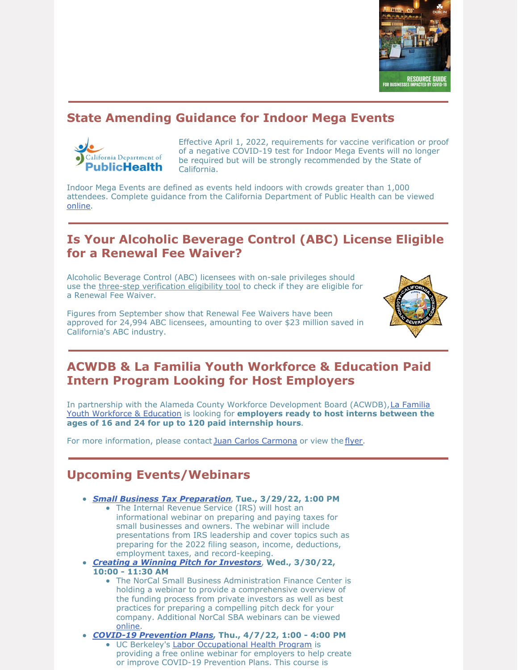

## **State Amending Guidance for Indoor Mega Events**



Effective April 1, 2022, requirements for vaccine verification or proof of a negative COVID-19 test for Indoor Mega Events will no longer be required but will be strongly recommended by the State of California.

Indoor Mega Events are defined as events held indoors with crowds greater than 1,000 attendees. Complete guidance from the California Department of Public Health can be viewed [online](https://www.cdph.ca.gov/Programs/CID/DCDC/Pages/COVID-19/Beyond-Blueprint-Framework.aspx).

### **Is Your Alcoholic Beverage Control (ABC) License Eligible for a Renewal Fee Waiver?**

Alcoholic Beverage Control (ABC) licensees with on-sale privileges should use the three-step [verification](https://www.abc.ca.gov/law-and-policy/coronavirus19/renewal-fee-waiver/verify-eligibility/) eligibility tool to check if they are eligible for a Renewal Fee Waiver.

Figures from September show that Renewal Fee Waivers have been approved for 24,994 ABC licensees, amounting to over \$23 million saved in California's ABC industry.



### **ACWDB & La Familia Youth Workforce & Education Paid Intern Program Looking for Host Employers**

In partnership with the Alameda County Workforce [Development](https://www.lafamiliayouthworkforce.com/) Board (ACWDB),La Familia Youth Workforce & Education is looking for **employers ready to host interns between the ages of 16 and 24 for up to 120 paid internship hours**.

For more information, please contact Juan Carlos [Carmona](mailto:jcarmona@lafamiliacounseling.org) or view the [flyer](https://files.constantcontact.com/76ac12bc001/3ae7dbcb-00b1-4010-a4c3-576f81b5e05e.pdf?rdr=true).

#### **Upcoming Events/Webinars**

- *Small Business Tax [Preparation](https://irs.zoomgov.com/meeting/register/vJIsd-2qqjkpGQ___rjLi795udgELri5-bQ)*, **Tue., 3/29/22, 1:00 PM**
	- The Internal Revenue Service (IRS) will host an informational webinar on preparing and paying taxes for small businesses and owners. The webinar will include presentations from IRS leadership and cover topics such as
	- preparing for the 2022 filing season, income, deductions, employment taxes, and record-keeping.
- *Creating a Winning Pitch for [Investors](https://norcalsbdc.zoom.us/webinar/register/WN_6qonnCBOTlqknZf8xefHYg)*, **Wed., 3/30/22, 10:00 - 11:30 AM**
	- The NorCal Small Business Administration Finance Center is holding a webinar to provide a comprehensive overview of the funding process from private investors as well as best practices for preparing a compelling pitch deck for your company. Additional NorCal SBA webinars can be viewed [online](https://www.norcalsbdc.org/events/page/2/).
- *COVID-19 [Prevention](https://lohp.berkeley.edu/developing-and-implementing-an-effective-covid-19-infectious-disease-prevention-program-for-your-business/) Plans***, Thu., 4/7/22, 1:00 - 4:00 PM**
	- UC Berkeley's Labor [Occupational](https://lohp.berkeley.edu/) Health Program is providing a free online webinar for employers to help create or improve COVID-19 Prevention Plans. This course is